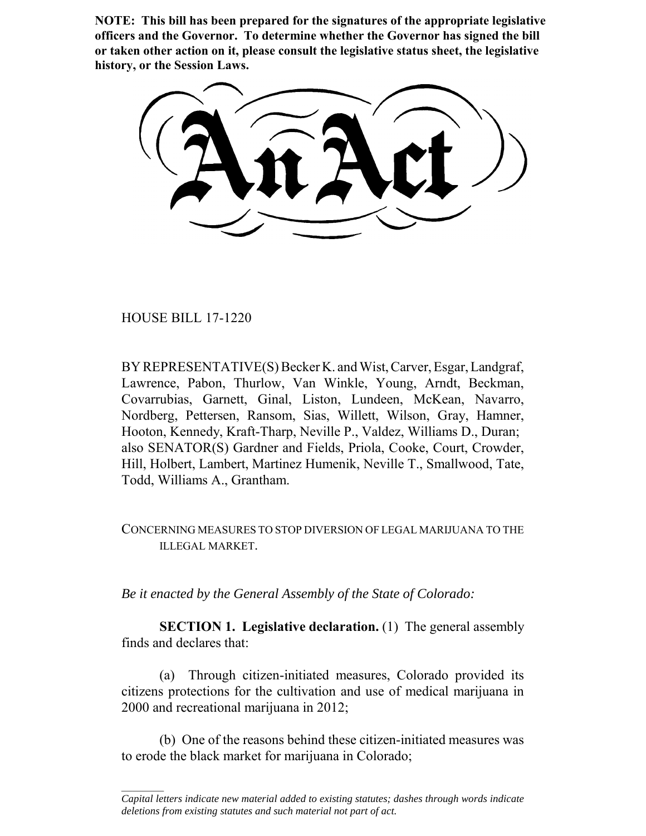**NOTE: This bill has been prepared for the signatures of the appropriate legislative officers and the Governor. To determine whether the Governor has signed the bill or taken other action on it, please consult the legislative status sheet, the legislative history, or the Session Laws.**

HOUSE BILL 17-1220

 $\frac{1}{2}$ 

BY REPRESENTATIVE(S) Becker K. and Wist, Carver, Esgar, Landgraf, Lawrence, Pabon, Thurlow, Van Winkle, Young, Arndt, Beckman, Covarrubias, Garnett, Ginal, Liston, Lundeen, McKean, Navarro, Nordberg, Pettersen, Ransom, Sias, Willett, Wilson, Gray, Hamner, Hooton, Kennedy, Kraft-Tharp, Neville P., Valdez, Williams D., Duran; also SENATOR(S) Gardner and Fields, Priola, Cooke, Court, Crowder, Hill, Holbert, Lambert, Martinez Humenik, Neville T., Smallwood, Tate, Todd, Williams A., Grantham.

## CONCERNING MEASURES TO STOP DIVERSION OF LEGAL MARIJUANA TO THE ILLEGAL MARKET.

*Be it enacted by the General Assembly of the State of Colorado:*

**SECTION 1. Legislative declaration.** (1) The general assembly finds and declares that:

(a) Through citizen-initiated measures, Colorado provided its citizens protections for the cultivation and use of medical marijuana in 2000 and recreational marijuana in 2012;

(b) One of the reasons behind these citizen-initiated measures was to erode the black market for marijuana in Colorado;

*Capital letters indicate new material added to existing statutes; dashes through words indicate deletions from existing statutes and such material not part of act.*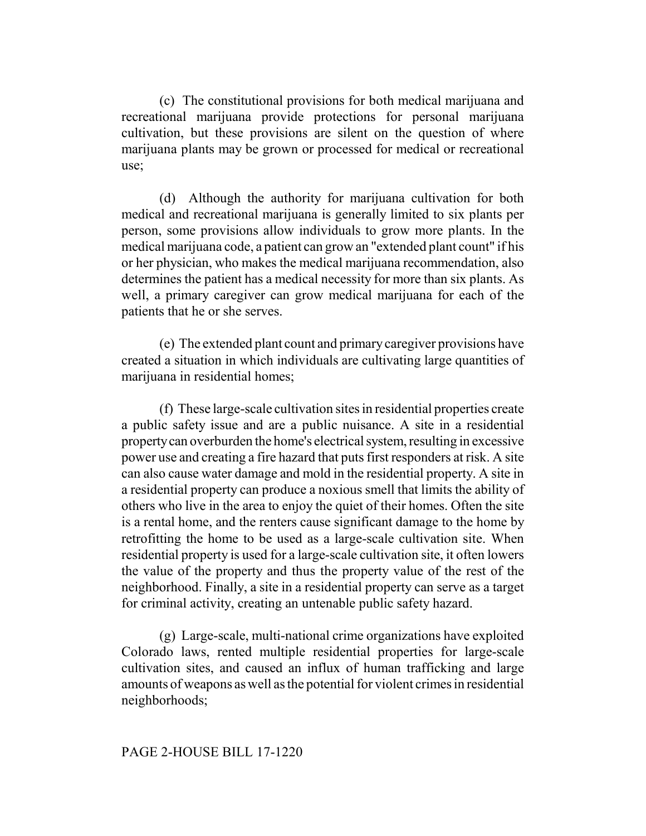(c) The constitutional provisions for both medical marijuana and recreational marijuana provide protections for personal marijuana cultivation, but these provisions are silent on the question of where marijuana plants may be grown or processed for medical or recreational use;

(d) Although the authority for marijuana cultivation for both medical and recreational marijuana is generally limited to six plants per person, some provisions allow individuals to grow more plants. In the medical marijuana code, a patient can grow an "extended plant count" if his or her physician, who makes the medical marijuana recommendation, also determines the patient has a medical necessity for more than six plants. As well, a primary caregiver can grow medical marijuana for each of the patients that he or she serves.

(e) The extended plant count and primary caregiver provisions have created a situation in which individuals are cultivating large quantities of marijuana in residential homes;

(f) These large-scale cultivation sites in residential properties create a public safety issue and are a public nuisance. A site in a residential property can overburden the home's electrical system, resulting in excessive power use and creating a fire hazard that puts first responders at risk. A site can also cause water damage and mold in the residential property. A site in a residential property can produce a noxious smell that limits the ability of others who live in the area to enjoy the quiet of their homes. Often the site is a rental home, and the renters cause significant damage to the home by retrofitting the home to be used as a large-scale cultivation site. When residential property is used for a large-scale cultivation site, it often lowers the value of the property and thus the property value of the rest of the neighborhood. Finally, a site in a residential property can serve as a target for criminal activity, creating an untenable public safety hazard.

(g) Large-scale, multi-national crime organizations have exploited Colorado laws, rented multiple residential properties for large-scale cultivation sites, and caused an influx of human trafficking and large amounts of weapons as well as the potential for violent crimes in residential neighborhoods;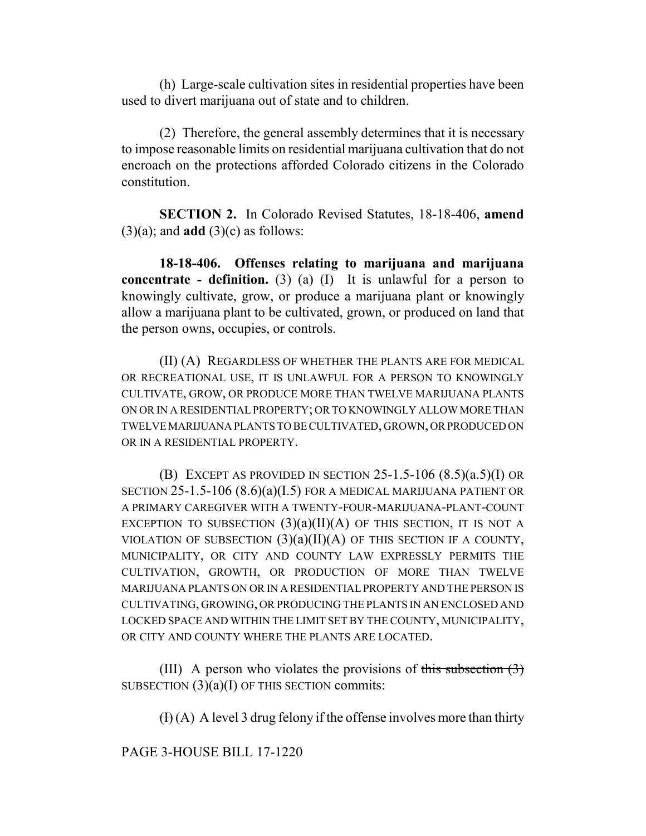(h) Large-scale cultivation sites in residential properties have been used to divert marijuana out of state and to children.

(2) Therefore, the general assembly determines that it is necessary to impose reasonable limits on residential marijuana cultivation that do not encroach on the protections afforded Colorado citizens in the Colorado constitution.

**SECTION 2.** In Colorado Revised Statutes, 18-18-406, **amend** (3)(a); and **add** (3)(c) as follows:

**18-18-406. Offenses relating to marijuana and marijuana concentrate - definition.** (3) (a) (I) It is unlawful for a person to knowingly cultivate, grow, or produce a marijuana plant or knowingly allow a marijuana plant to be cultivated, grown, or produced on land that the person owns, occupies, or controls.

(II) (A) REGARDLESS OF WHETHER THE PLANTS ARE FOR MEDICAL OR RECREATIONAL USE, IT IS UNLAWFUL FOR A PERSON TO KNOWINGLY CULTIVATE, GROW, OR PRODUCE MORE THAN TWELVE MARIJUANA PLANTS ON OR IN A RESIDENTIAL PROPERTY; OR TO KNOWINGLY ALLOW MORE THAN TWELVE MARIJUANA PLANTS TO BE CULTIVATED, GROWN, OR PRODUCED ON OR IN A RESIDENTIAL PROPERTY.

(B) EXCEPT AS PROVIDED IN SECTION  $25-1.5-106$   $(8.5)(a.5)(I)$  OR SECTION 25-1.5-106 (8.6)(a)(I.5) FOR A MEDICAL MARIJUANA PATIENT OR A PRIMARY CAREGIVER WITH A TWENTY-FOUR-MARIJUANA-PLANT-COUNT EXCEPTION TO SUBSECTION  $(3)(a)(II)(A)$  OF THIS SECTION, IT IS NOT A VIOLATION OF SUBSECTION  $(3)(a)(II)(A)$  OF THIS SECTION IF A COUNTY, MUNICIPALITY, OR CITY AND COUNTY LAW EXPRESSLY PERMITS THE CULTIVATION, GROWTH, OR PRODUCTION OF MORE THAN TWELVE MARIJUANA PLANTS ON OR IN A RESIDENTIAL PROPERTY AND THE PERSON IS CULTIVATING, GROWING, OR PRODUCING THE PLANTS IN AN ENCLOSED AND LOCKED SPACE AND WITHIN THE LIMIT SET BY THE COUNTY, MUNICIPALITY, OR CITY AND COUNTY WHERE THE PLANTS ARE LOCATED.

(III) A person who violates the provisions of this subsection  $(3)$ SUBSECTION  $(3)(a)(I)$  OF THIS SECTION commits:

 $(H)(A)$  A level 3 drug felony if the offense involves more than thirty

PAGE 3-HOUSE BILL 17-1220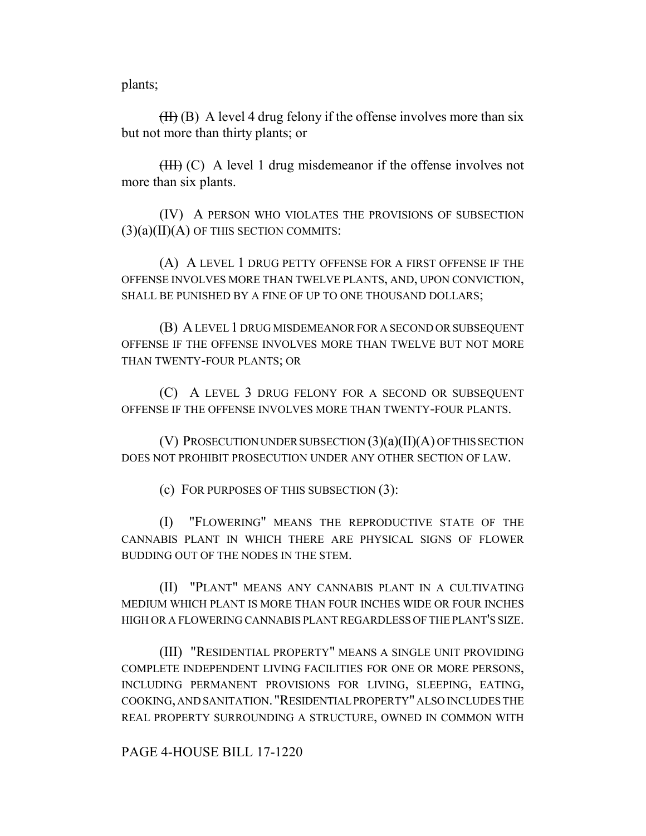plants;

 $(HH)$  (B) A level 4 drug felony if the offense involves more than six but not more than thirty plants; or

(III) (C) A level 1 drug misdemeanor if the offense involves not more than six plants.

(IV) A PERSON WHO VIOLATES THE PROVISIONS OF SUBSECTION  $(3)(a)(II)(A)$  OF THIS SECTION COMMITS:

(A) A LEVEL 1 DRUG PETTY OFFENSE FOR A FIRST OFFENSE IF THE OFFENSE INVOLVES MORE THAN TWELVE PLANTS, AND, UPON CONVICTION, SHALL BE PUNISHED BY A FINE OF UP TO ONE THOUSAND DOLLARS;

(B) A LEVEL 1 DRUG MISDEMEANOR FOR A SECOND OR SUBSEQUENT OFFENSE IF THE OFFENSE INVOLVES MORE THAN TWELVE BUT NOT MORE THAN TWENTY-FOUR PLANTS; OR

(C) A LEVEL 3 DRUG FELONY FOR A SECOND OR SUBSEQUENT OFFENSE IF THE OFFENSE INVOLVES MORE THAN TWENTY-FOUR PLANTS.

(V) PROSECUTION UNDER SUBSECTION (3)(a)(II)(A) OF THIS SECTION DOES NOT PROHIBIT PROSECUTION UNDER ANY OTHER SECTION OF LAW.

(c) FOR PURPOSES OF THIS SUBSECTION (3):

(I) "FLOWERING" MEANS THE REPRODUCTIVE STATE OF THE CANNABIS PLANT IN WHICH THERE ARE PHYSICAL SIGNS OF FLOWER BUDDING OUT OF THE NODES IN THE STEM.

(II) "PLANT" MEANS ANY CANNABIS PLANT IN A CULTIVATING MEDIUM WHICH PLANT IS MORE THAN FOUR INCHES WIDE OR FOUR INCHES HIGH OR A FLOWERING CANNABIS PLANT REGARDLESS OF THE PLANT'S SIZE.

(III) "RESIDENTIAL PROPERTY" MEANS A SINGLE UNIT PROVIDING COMPLETE INDEPENDENT LIVING FACILITIES FOR ONE OR MORE PERSONS, INCLUDING PERMANENT PROVISIONS FOR LIVING, SLEEPING, EATING, COOKING, AND SANITATION. "RESIDENTIAL PROPERTY" ALSO INCLUDES THE REAL PROPERTY SURROUNDING A STRUCTURE, OWNED IN COMMON WITH

PAGE 4-HOUSE BILL 17-1220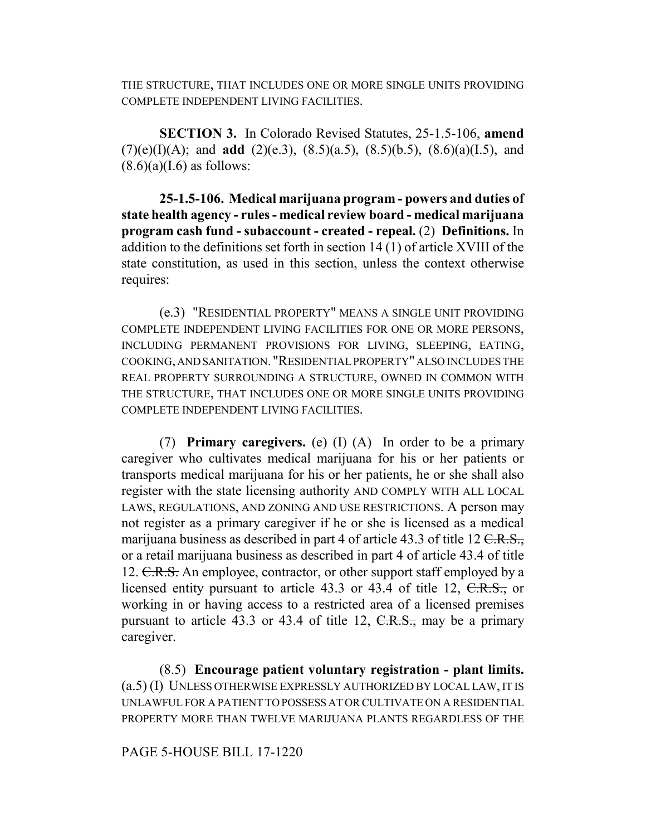THE STRUCTURE, THAT INCLUDES ONE OR MORE SINGLE UNITS PROVIDING COMPLETE INDEPENDENT LIVING FACILITIES.

**SECTION 3.** In Colorado Revised Statutes, 25-1.5-106, **amend** (7)(e)(I)(A); and **add** (2)(e.3), (8.5)(a.5), (8.5)(b.5), (8.6)(a)(I.5), and  $(8.6)(a)(I.6)$  as follows:

**25-1.5-106. Medical marijuana program - powers and duties of state health agency - rules - medical review board - medical marijuana program cash fund - subaccount - created - repeal.** (2) **Definitions.** In addition to the definitions set forth in section 14 (1) of article XVIII of the state constitution, as used in this section, unless the context otherwise requires:

(e.3) "RESIDENTIAL PROPERTY" MEANS A SINGLE UNIT PROVIDING COMPLETE INDEPENDENT LIVING FACILITIES FOR ONE OR MORE PERSONS, INCLUDING PERMANENT PROVISIONS FOR LIVING, SLEEPING, EATING, COOKING, AND SANITATION. "RESIDENTIAL PROPERTY" ALSO INCLUDES THE REAL PROPERTY SURROUNDING A STRUCTURE, OWNED IN COMMON WITH THE STRUCTURE, THAT INCLUDES ONE OR MORE SINGLE UNITS PROVIDING COMPLETE INDEPENDENT LIVING FACILITIES.

(7) **Primary caregivers.** (e) (I) (A) In order to be a primary caregiver who cultivates medical marijuana for his or her patients or transports medical marijuana for his or her patients, he or she shall also register with the state licensing authority AND COMPLY WITH ALL LOCAL LAWS, REGULATIONS, AND ZONING AND USE RESTRICTIONS. A person may not register as a primary caregiver if he or she is licensed as a medical marijuana business as described in part 4 of article 43.3 of title 12  $C.R.S.,$ or a retail marijuana business as described in part 4 of article 43.4 of title 12. C.R.S. An employee, contractor, or other support staff employed by a licensed entity pursuant to article 43.3 or 43.4 of title 12, C.R.S., or working in or having access to a restricted area of a licensed premises pursuant to article 43.3 or 43.4 of title 12,  $C.R.S.,$  may be a primary caregiver.

(8.5) **Encourage patient voluntary registration - plant limits.** (a.5) (I) UNLESS OTHERWISE EXPRESSLY AUTHORIZED BY LOCAL LAW, IT IS UNLAWFUL FOR A PATIENT TO POSSESS AT OR CULTIVATE ON A RESIDENTIAL PROPERTY MORE THAN TWELVE MARIJUANA PLANTS REGARDLESS OF THE

## PAGE 5-HOUSE BILL 17-1220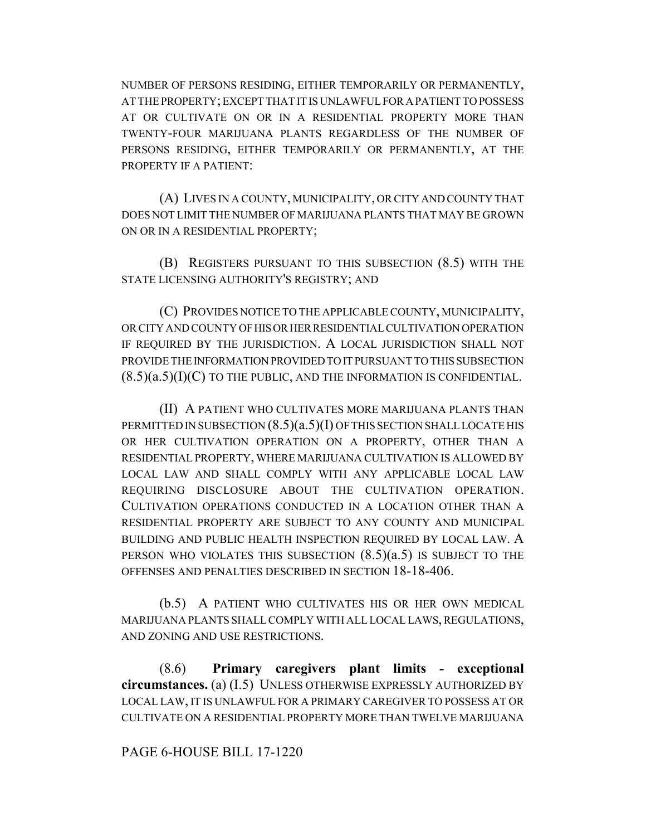NUMBER OF PERSONS RESIDING, EITHER TEMPORARILY OR PERMANENTLY, AT THE PROPERTY; EXCEPT THAT IT IS UNLAWFUL FOR A PATIENT TO POSSESS AT OR CULTIVATE ON OR IN A RESIDENTIAL PROPERTY MORE THAN TWENTY-FOUR MARIJUANA PLANTS REGARDLESS OF THE NUMBER OF PERSONS RESIDING, EITHER TEMPORARILY OR PERMANENTLY, AT THE PROPERTY IF A PATIENT:

(A) LIVES IN A COUNTY, MUNICIPALITY, OR CITY AND COUNTY THAT DOES NOT LIMIT THE NUMBER OF MARIJUANA PLANTS THAT MAY BE GROWN ON OR IN A RESIDENTIAL PROPERTY;

(B) REGISTERS PURSUANT TO THIS SUBSECTION (8.5) WITH THE STATE LICENSING AUTHORITY'S REGISTRY; AND

(C) PROVIDES NOTICE TO THE APPLICABLE COUNTY, MUNICIPALITY, OR CITY AND COUNTY OF HIS OR HER RESIDENTIAL CULTIVATION OPERATION IF REQUIRED BY THE JURISDICTION. A LOCAL JURISDICTION SHALL NOT PROVIDE THE INFORMATION PROVIDED TO IT PURSUANT TO THIS SUBSECTION  $(8.5)(a.5)(I)(C)$  TO THE PUBLIC, AND THE INFORMATION IS CONFIDENTIAL.

(II) A PATIENT WHO CULTIVATES MORE MARIJUANA PLANTS THAN PERMITTED IN SUBSECTION  $(8.5)(a.5)(I)$  OF THIS SECTION SHALL LOCATE HIS OR HER CULTIVATION OPERATION ON A PROPERTY, OTHER THAN A RESIDENTIAL PROPERTY, WHERE MARIJUANA CULTIVATION IS ALLOWED BY LOCAL LAW AND SHALL COMPLY WITH ANY APPLICABLE LOCAL LAW REQUIRING DISCLOSURE ABOUT THE CULTIVATION OPERATION. CULTIVATION OPERATIONS CONDUCTED IN A LOCATION OTHER THAN A RESIDENTIAL PROPERTY ARE SUBJECT TO ANY COUNTY AND MUNICIPAL BUILDING AND PUBLIC HEALTH INSPECTION REQUIRED BY LOCAL LAW. A PERSON WHO VIOLATES THIS SUBSECTION  $(8.5)(a.5)$  IS SUBJECT TO THE OFFENSES AND PENALTIES DESCRIBED IN SECTION 18-18-406.

(b.5) A PATIENT WHO CULTIVATES HIS OR HER OWN MEDICAL MARIJUANA PLANTS SHALL COMPLY WITH ALL LOCAL LAWS, REGULATIONS, AND ZONING AND USE RESTRICTIONS.

(8.6) **Primary caregivers plant limits - exceptional circumstances.** (a) (I.5) UNLESS OTHERWISE EXPRESSLY AUTHORIZED BY LOCAL LAW, IT IS UNLAWFUL FOR A PRIMARY CAREGIVER TO POSSESS AT OR CULTIVATE ON A RESIDENTIAL PROPERTY MORE THAN TWELVE MARIJUANA

## PAGE 6-HOUSE BILL 17-1220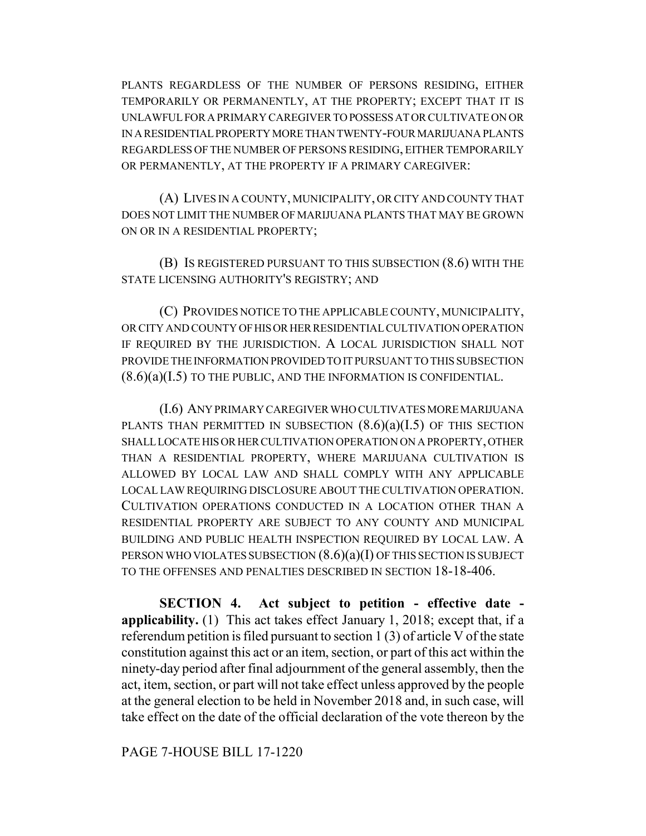PLANTS REGARDLESS OF THE NUMBER OF PERSONS RESIDING, EITHER TEMPORARILY OR PERMANENTLY, AT THE PROPERTY; EXCEPT THAT IT IS UNLAWFUL FOR A PRIMARY CAREGIVER TO POSSESS AT OR CULTIVATE ON OR IN A RESIDENTIAL PROPERTY MORE THAN TWENTY-FOUR MARIJUANA PLANTS REGARDLESS OF THE NUMBER OF PERSONS RESIDING, EITHER TEMPORARILY OR PERMANENTLY, AT THE PROPERTY IF A PRIMARY CAREGIVER:

(A) LIVES IN A COUNTY, MUNICIPALITY, OR CITY AND COUNTY THAT DOES NOT LIMIT THE NUMBER OF MARIJUANA PLANTS THAT MAY BE GROWN ON OR IN A RESIDENTIAL PROPERTY;

(B) IS REGISTERED PURSUANT TO THIS SUBSECTION (8.6) WITH THE STATE LICENSING AUTHORITY'S REGISTRY; AND

(C) PROVIDES NOTICE TO THE APPLICABLE COUNTY, MUNICIPALITY, OR CITY AND COUNTY OF HIS OR HER RESIDENTIAL CULTIVATION OPERATION IF REQUIRED BY THE JURISDICTION. A LOCAL JURISDICTION SHALL NOT PROVIDE THE INFORMATION PROVIDED TO IT PURSUANT TO THIS SUBSECTION (8.6)(a)(I.5) TO THE PUBLIC, AND THE INFORMATION IS CONFIDENTIAL.

(I.6) ANY PRIMARY CAREGIVER WHO CULTIVATES MORE MARIJUANA PLANTS THAN PERMITTED IN SUBSECTION  $(8.6)(a)(I.5)$  OF THIS SECTION SHALL LOCATE HIS OR HER CULTIVATION OPERATION ON A PROPERTY, OTHER THAN A RESIDENTIAL PROPERTY, WHERE MARIJUANA CULTIVATION IS ALLOWED BY LOCAL LAW AND SHALL COMPLY WITH ANY APPLICABLE LOCAL LAW REQUIRING DISCLOSURE ABOUT THE CULTIVATION OPERATION. CULTIVATION OPERATIONS CONDUCTED IN A LOCATION OTHER THAN A RESIDENTIAL PROPERTY ARE SUBJECT TO ANY COUNTY AND MUNICIPAL BUILDING AND PUBLIC HEALTH INSPECTION REQUIRED BY LOCAL LAW. A PERSON WHO VIOLATES SUBSECTION  $(8.6)(a)(I)$  OF THIS SECTION IS SUBJECT TO THE OFFENSES AND PENALTIES DESCRIBED IN SECTION 18-18-406.

**SECTION 4. Act subject to petition - effective date applicability.** (1) This act takes effect January 1, 2018; except that, if a referendum petition is filed pursuant to section 1 (3) of article V of the state constitution against this act or an item, section, or part of this act within the ninety-day period after final adjournment of the general assembly, then the act, item, section, or part will not take effect unless approved by the people at the general election to be held in November 2018 and, in such case, will take effect on the date of the official declaration of the vote thereon by the

PAGE 7-HOUSE BILL 17-1220